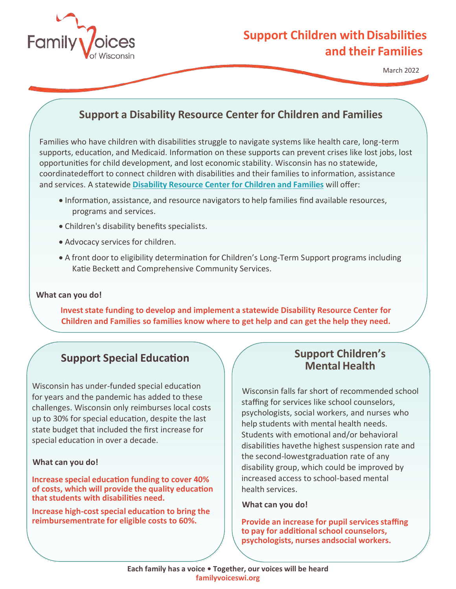

# **Support Children with Disabilities and their Families**

March 2022

## **Support a Disability Resource Center for Children and Families**

Families who have children with disabilities struggle to navigate systems like health care, long-term supports, education, and Medicaid. Information on these supports can prevent crises like lost jobs, lost opportunities for child development, and lost economic stability. Wisconsin has no statewide, coordinatedeffort to connect children with disabilities and their families to information, assistance and services. A statewide **Disability Resource Center [for Children](https://familyvoiceswi.org/wp-content/uploads/2021/03/Disability-Resource-Center-for-Children-and-Families-Proposal-March-12.pdf) and Families** will offer:

- Information, assistance, and resource navigators to help families find available resources, programs and services.
- Children's disability benefits specialists.
- Advocacy services for children.
- A front door to eligibility determination for Children's Long-Term Support programs including Katie Beckett and Comprehensive Community Services.

### **What can you do!**

**Investstate funding to develop and implement a statewide Disability Resource Center for Children and Families so families know where to get help and can get the help they need.**

### **Support Special Education**

Wisconsin has under-funded special education for years and the pandemic has added to these challenges. Wisconsin only reimburses local costs up to 30% for special education, despite the last state budget that included the first increase for special education in over a decade.

### **What can you do!**

**Increase special education funding to cover 40% of costs, which will provide the quality education thatstudents with disabilities need.**

**Increase high-costspecial education to bring the reimbursementrate for eligible costs to 60%.**

### **Support Children's MentalHealth**

Wisconsin falls far short of recommended school staffing for services like school counselors, psychologists, social workers, and nurses who help students with mental health needs. Students with emotional and/or behavioral disabilities havethe highest suspension rate and the second-lowest graduation rate of any disability group, which could be improved by increased access to school-based mental health services.

### **What can you do!**

**Provide an increase for pupil services staffing to pay for additional school counselors, psychologists, nurses andsocial workers.**